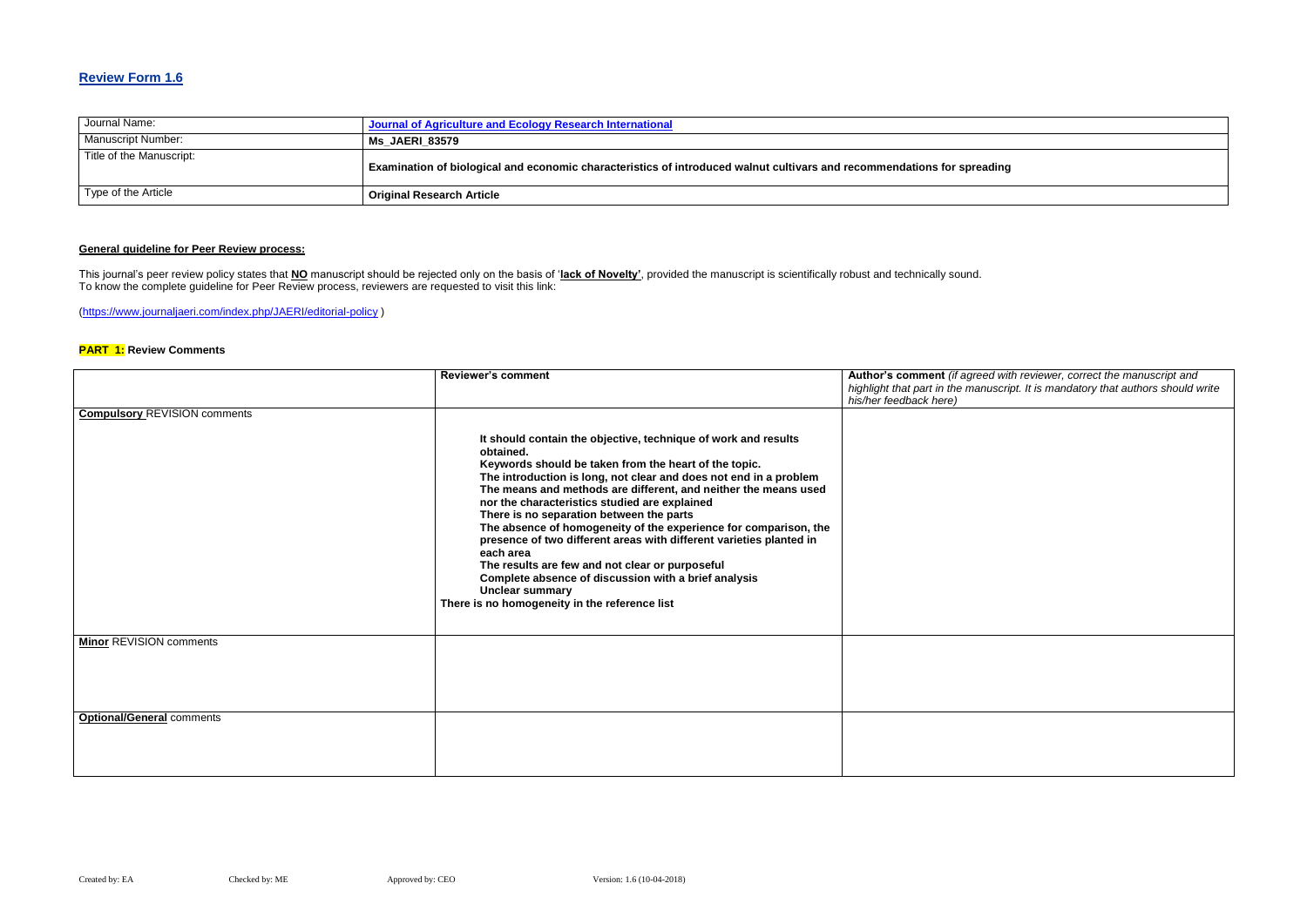### **Review Form 1.6**

| Journal Name:            | Journal of Agriculture and Ecology Research International                                                               |
|--------------------------|-------------------------------------------------------------------------------------------------------------------------|
| Manuscript Number:       | <b>Ms JAERI 83579</b>                                                                                                   |
| Title of the Manuscript: | Examination of biological and economic characteristics of introduced walnut cultivars and recommendations for spreading |
| Type of the Article      | <b>Original Research Article</b>                                                                                        |

### **General guideline for Peer Review process:**

**Red with reviewer, correct the manuscript and** *highlight that part in the manuscript. It is mandatory that authors should write* 

This journal's peer review policy states that **NO** manuscript should be rejected only on the basis of '**lack of Novelty'**, provided the manuscript is scientifically robust and technically sound. To know the complete guideline for Peer Review process, reviewers are requested to visit this link:

[\(https://www.journaljaeri.com/index.php/JAERI/editorial-policy](https://www.journaljaeri.com/index.php/JAERI/editorial-policy) )

### **PART 1: Review Comments**

|                                     | <b>Reviewer's comment</b>                                                                                                                                                                                                                                                                                                                                                                                                                                                                                                                                                                                                                                                                                               | Author's comment (if agre      |
|-------------------------------------|-------------------------------------------------------------------------------------------------------------------------------------------------------------------------------------------------------------------------------------------------------------------------------------------------------------------------------------------------------------------------------------------------------------------------------------------------------------------------------------------------------------------------------------------------------------------------------------------------------------------------------------------------------------------------------------------------------------------------|--------------------------------|
|                                     |                                                                                                                                                                                                                                                                                                                                                                                                                                                                                                                                                                                                                                                                                                                         | highlight that part in the mai |
|                                     |                                                                                                                                                                                                                                                                                                                                                                                                                                                                                                                                                                                                                                                                                                                         | his/her feedback here)         |
| <b>Compulsory REVISION comments</b> |                                                                                                                                                                                                                                                                                                                                                                                                                                                                                                                                                                                                                                                                                                                         |                                |
|                                     | It should contain the objective, technique of work and results<br>obtained.<br>Keywords should be taken from the heart of the topic.<br>The introduction is long, not clear and does not end in a problem<br>The means and methods are different, and neither the means used<br>nor the characteristics studied are explained<br>There is no separation between the parts<br>The absence of homogeneity of the experience for comparison, the<br>presence of two different areas with different varieties planted in<br>each area<br>The results are few and not clear or purposeful<br>Complete absence of discussion with a brief analysis<br><b>Unclear summary</b><br>There is no homogeneity in the reference list |                                |
| <b>Minor REVISION comments</b>      |                                                                                                                                                                                                                                                                                                                                                                                                                                                                                                                                                                                                                                                                                                                         |                                |
|                                     |                                                                                                                                                                                                                                                                                                                                                                                                                                                                                                                                                                                                                                                                                                                         |                                |
| <b>Optional/General comments</b>    |                                                                                                                                                                                                                                                                                                                                                                                                                                                                                                                                                                                                                                                                                                                         |                                |
|                                     |                                                                                                                                                                                                                                                                                                                                                                                                                                                                                                                                                                                                                                                                                                                         |                                |
|                                     |                                                                                                                                                                                                                                                                                                                                                                                                                                                                                                                                                                                                                                                                                                                         |                                |
|                                     |                                                                                                                                                                                                                                                                                                                                                                                                                                                                                                                                                                                                                                                                                                                         |                                |